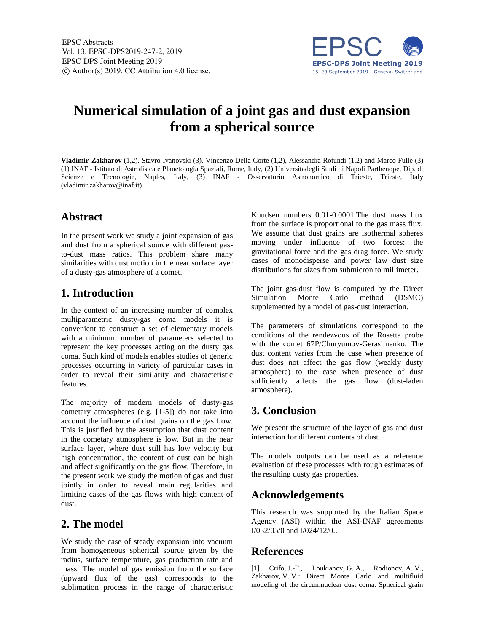

# **Numerical simulation of a joint gas and dust expansion from a spherical source**

**Vladimir Zakharov** (1,2), Stavro Ivanovski (3), Vincenzo Della Corte (1,2), Alessandra Rotundi (1,2) and Marco Fulle (3) (1) INAF - Istituto di Astrofisica e Planetologia Spaziali, Rome, Italy, (2) Universitadegli Studi di Napoli Parthenope, Dip. di Scienze e Tecnologie, Naples, Italy, (3) INAF - Osservatorio Astronomico di Trieste, Trieste, Italy (vladimir.zakharov@inaf.it)

#### **Abstract**

In the present work we study a joint expansion of gas and dust from a spherical source with different gasto-dust mass ratios. This problem share many similarities with dust motion in the near surface layer of a dusty-gas atmosphere of a comet.

## **1. Introduction**

In the context of an increasing number of complex multiparametric dusty-gas coma models it is convenient to construct a set of elementary models with a minimum number of parameters selected to represent the key processes acting on the dusty gas coma. Such kind of models enables studies of generic processes occurring in variety of particular cases in order to reveal their similarity and characteristic features.

The majority of modern models of dusty-gas cometary atmospheres (e.g. [1-5]) do not take into account the influence of dust grains on the gas flow. This is justified by the assumption that dust content in the cometary atmosphere is low. But in the near surface layer, where dust still has low velocity but high concentration, the content of dust can be high and affect significantly on the gas flow. Therefore, in the present work we study the motion of gas and dust jointly in order to reveal main regularities and limiting cases of the gas flows with high content of dust.

### **2. The model**

We study the case of steady expansion into vacuum from homogeneous spherical source given by the radius, surface temperature, gas production rate and mass. The model of gas emission from the surface (upward flux of the gas) corresponds to the sublimation process in the range of characteristic Knudsen numbers 0.01-0.0001.The dust mass flux from the surface is proportional to the gas mass flux. We assume that dust grains are isothermal spheres moving under influence of two forces: the gravitational force and the gas drag force. We study cases of monodisperse and power law dust size distributions for sizes from submicron to millimeter.

The joint gas-dust flow is computed by the Direct Simulation Monte Carlo method (DSMC) supplemented by a model of gas-dust interaction.

The parameters of simulations correspond to the conditions of the rendezvous of the Rosetta probe with the comet 67P/Churyumov-Gerasimenko. The dust content varies from the case when presence of dust does not affect the gas flow (weakly dusty atmosphere) to the case when presence of dust sufficiently affects the gas flow (dust-laden atmosphere).

### **3. Conclusion**

We present the structure of the layer of gas and dust interaction for different contents of dust.

The models outputs can be used as a reference evaluation of these processes with rough estimates of the resulting dusty gas properties.

### **Acknowledgements**

This research was supported by the Italian Space Agency (ASI) within the ASI-INAF agreements I/032/05/0 and I/024/12/0..

### **References**

[1] Crifo, J.-F., Loukianov, G. A., Rodionov, A. V., Zakharov, V. V.: Direct Monte Carlo and multifluid modeling of the circumnuclear dust coma. Spherical grain